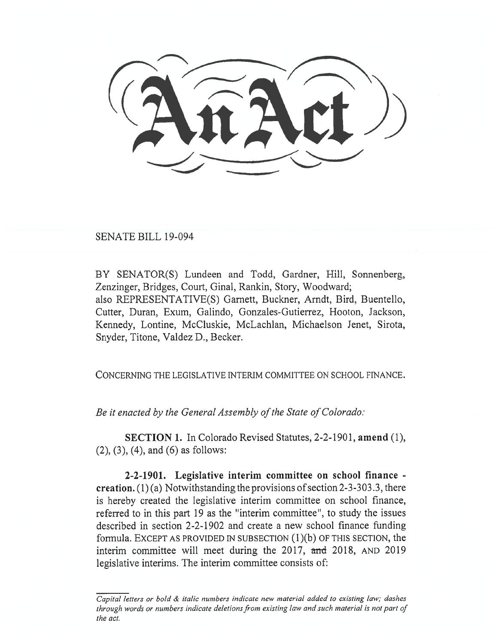SENATE BILL 19-094

BY SENATOR(S) Lundeen and Todd, Gardner, Hill, Sonnenberg, Zenzinger, Bridges, Court, Ginal, Rankin, Story, Woodward; also REPRESENTATIVE(S) Garnett, Buckner, Arndt, Bird, Buentello, Cutter, Duran, Exum, Galindo, Gonzales-Gutierrez, Hooton, Jackson, Kennedy, Lontine, McCluskie, McLachlan, Michaelson Jenet, Sirota, Snyder, Titone, Valdez D., Becker.

CONCERNING THE LEGISLATIVE INTERIM COMMITTEE ON SCHOOL FINANCE.

*Be it enacted by the General Assembly of the State of Colorado:* 

**SECTION 1.** In Colorado Revised Statutes, 2-2-1901, **amend** (1), (2), (3), (4), and (6) as follows:

**2-2-1901. Legislative interim committee on school finance creation.** (1) (a) Notwithstanding the provisions of section 2-3-303.3, there is hereby created the legislative interim committee on school finance, referred to in this part 19 as the "interim committee", to study the issues described in section 2-2-1902 and create a new school finance funding formula. EXCEPT AS PROVIDED IN SUBSECTION (1)(b) OF THIS SECTION, the interim committee will meet during the 2017, and 2018, AND 2019 legislative interims. The interim committee consists of:

*Capital letters or bold & italic numbers indicate new material added to existing law; dashes through words or numbers indicate deletions from existing law and such material is not part of the act.*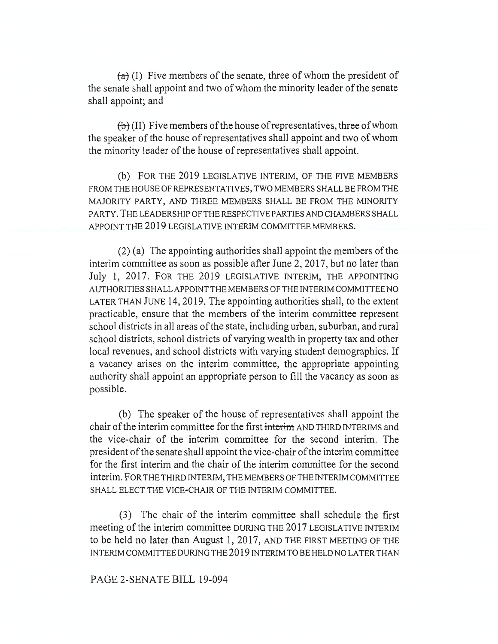*(2)* (I) Five members of the senate, three of whom the president of the senate shall appoint and two of whom the minority leader of the senate shall appoint; and

 $f(b)$  (II) Five members of the house of representatives, three of whom the speaker of the house of representatives shall appoint and two of whom the minority leader of the house of representatives shall appoint.

(b) FOR THE 2019 LEGISLATIVE INTERIM, OF THE FIVE MEMBERS FROM THE HOUSE OF REPRESENTATIVES, TWO MEMBERS SHALL BE FROM THE MAJORITY PARTY, AND THREE MEMBERS SHALL BE FROM THE MINORITY PARTY. THE LEADERSHIP OF THE RESPECTIVE PARTIES AND CHAMBERS SHALL APPOINT THE 2019 LEGISLATIVE INTERIM COMMITTEE MEMBERS.

(2) (a) The appointing authorities shall appoint the members of the interim committee as soon as possible after June 2, 2017, but no later than July 1, 2017. FOR THE 2019 LEGISLATIVE INTERIM, THE APPOINTING AUTHORITIES SHALL APPOINT THE MEMBERS OF THE INTERIM COMMITTEE NO LATER THAN JUNE 14, 2019. The appointing authorities shall, to the extent practicable, ensure that the members of the interim committee represent school districts in all areas of the state, including urban, suburban, and rural school districts, school districts of varying wealth in property tax and other local revenues, and school districts with varying student demographics. If a vacancy arises on the interim committee, the appropriate appointing authority shall appoint an appropriate person to fill the vacancy as soon as possible.

(b) The speaker of the house of representatives shall appoint the chair of the interim committee for the first interim AND THIRD INTERIMS and the vice-chair of the interim committee for the second interim. The president of the senate shall appoint the vice-chair of the interim committee for the first interim and the chair of the interim committee for the second interim. FOR THE THIRD INTERIM, THE MEMBERS OF THE INTERIM COMMITTEE SHALL ELECT THE VICE-CHAIR OF THE INTERIM COMMITTEE.

(3) The chair of the interim committee shall schedule the first meeting of the interim committee DURING THE 2017 LEGISLATIVE INTERIM to be held no later than August 1, 2017, AND THE FIRST MEETING OF THE INTERIM COMMITTEE DURING THE 2019 INTERIM TO BE HELD NO LATER THAN

## PAGE 2-SENATE BILL 19-094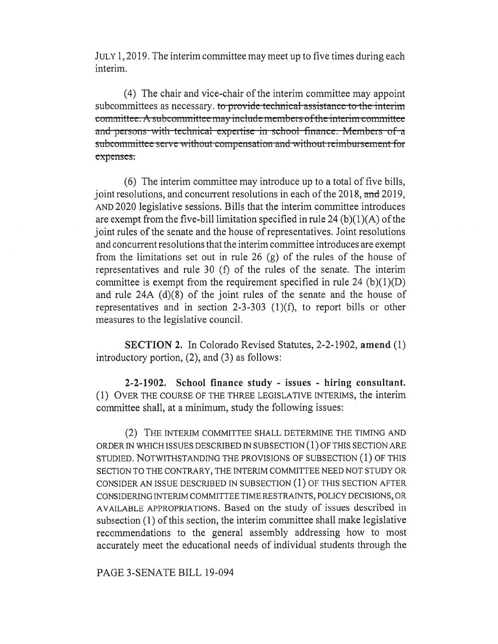JULY 1, 2019. The interim committee may meet up to five times during each interim.

(4) The chair and vice-chair of the interim committee may appoint subcommittees as necessary. to provide technical assistance to the interim committee. A subcommittee may include members of the interim committee and-persons-with-technical expertise in school finance. Members of a pensation and without reimbursement for expenses.

(6) The interim committee may introduce up to a total of five bills, joint resolutions, and concurrent resolutions in each of the 2018, and 2019, AND 2020 legislative sessions. Bills that the interim committee introduces are exempt from the five-bill limitation specified in rule 24 (b) $(1)(A)$  of the joint rules of the senate and the house of representatives. Joint resolutions and concurrent resolutions that the interim committee introduces are exempt from the limitations set out in rule 26 (g) of the rules of the house of representatives and rule 30 (f) of the rules of the senate. The interim committee is exempt from the requirement specified in rule 24  $(b)(1)(D)$ and rule 24A (d)(8) of the joint rules of the senate and the house of representatives and in section 2-3-303 (1)(f), to report bills or other measures to the legislative council.

**SECTION 2.** In Colorado Revised Statutes, 2-2-1902, **amend** (1) introductory portion, (2), and (3) as follows:

**2-2-1902. School finance study - issues - hiring consultant.**  (1) OVER THE COURSE OF THE THREE LEGISLATIVE INTERIMS, the interim committee shall, at a minimum, study the following issues:

(2) THE INTERIM COMMITTEE SHALL DETERMINE THE TIMING AND ORDER IN WHICH ISSUES DESCRIBED IN SUBSECTION (1) OF THIS SECTION ARE STUDIED. NOTWITHSTANDING THE PROVISIONS OF SUBSECTION (1) OF THIS SECTION TO THE CONTRARY, THE INTERIM COMMITTEE NEED NOT STUDY OR CONSIDER AN ISSUE DESCRIBED IN SUBSECTION (1) OF THIS SECTION AFTER CONSIDERING INTERIM COMMITTEE TIME RESTRAINTS, POLICY DECISIONS, OR AVAILABLE APPROPRIATIONS. Based on the study of issues described in subsection (1) of this section, the interim committee shall make legislative recommendations to the general assembly addressing how to most accurately meet the educational needs of individual students through the

PAGE 3-SENATE BILL 19-094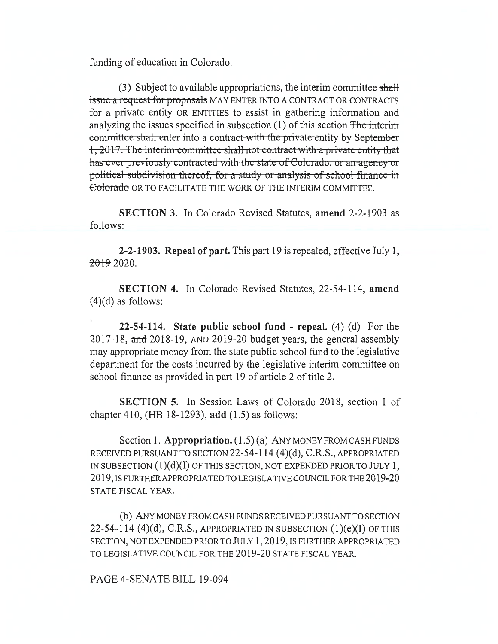funding of education in Colorado.

(3) Subject to available appropriations, the interim committee **shall**  issue a request-for proposals MAY ENTER INTO A CONTRACT OR CONTRACTS for a private entity OR ENTITIES to assist in gathering information and analyzing the issues specified in subsection  $(1)$  of this section The interim committee shall enter into a contract with the private entity by September 1, 2017. The interim-committee shall not contract with a private entity that has ever previously contracted with the state of Colorado, or an agency or political subdivision thereof, for a study or analysis of school finance in Colorado OR TO FACILITATE THE WORK OF THE INTERIM COMMITTEE.

**SECTION 3.** In Colorado Revised Statutes, **amend** 2-2-1903 as follows:

**2-2-1903. Repeal of part.** This part 19 is repealed, effective July 1,  $20192020$ .

**SECTION 4.** In Colorado Revised Statutes, 22-54-114, **amend**   $(4)(d)$  as follows:

**22-54-114. State public school fund - repeal.** (4) (d) For the 2017-18, and 2018-19, AND 2019-20 budget years, the general assembly may appropriate money from the state public school fund to the legislative department for the costs incurred by the legislative interim committee on school finance as provided in part 19 of article 2 of title 2.

**SECTION 5.** In Session Laws of Colorado 2018, section 1 of chapter 410, (HB 18-1293), **add** (1.5) as follows:

Section 1. **Appropriation.** (1.5) (a) ANY MONEY FROM CASH FUNDS RECEIVED PURSUANT TO SECTION 22-54-114  $(4)(d)$ , C.R.S., APPROPRIATED IN SUBSECTION  $(1)(d)(I)$  OF THIS SECTION, NOT EXPENDED PRIOR TO JULY 1, 2019, IS FURTHER APPROPRIATED TO LEGISLATIVE COUNCIL FOR THE 2019-20 STATE FISCAL YEAR.

(b) ANY MONEY FROM CASH FUNDS RECEIVED PURSUANT TO SECTION 22-54-114 (4)(d), C.R.S., APPROPRIATED IN SUBSECTION  $(1)(e)(I)$  OF THIS SECTION, NOT EXPENDED PRIOR TO JULY 1, 2019, IS FURTHER APPROPRIATED TO LEGISLATIVE COUNCIL FOR THE 2019-20 STATE FISCAL YEAR.

PAGE 4-SENATE BILL 19-094